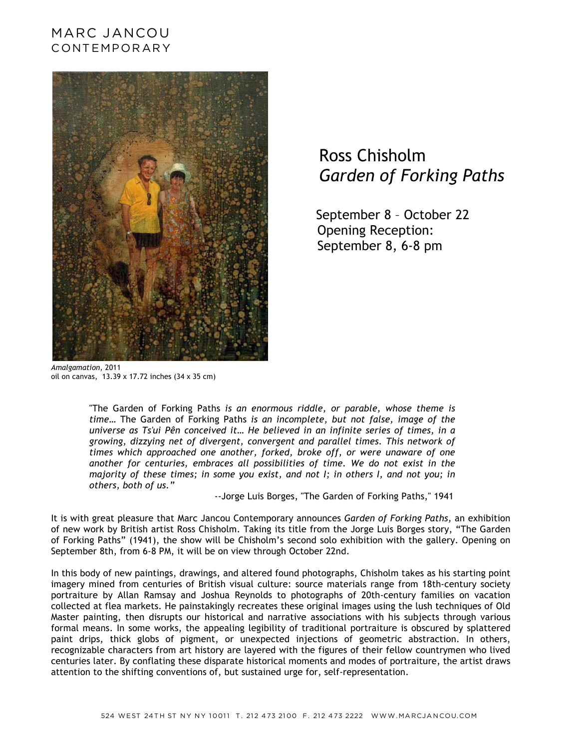## MARC JANCOU CONTEMPORARY



## Ross Chisholm  *Garden of Forking Paths*

 September 8 – October 22 Opening Reception: September 8, 6-8 pm

*Amalgamation*, 2011 oil on canvas, 13.39 x 17.72 inches (34 x 35 cm)

"The Garden of Forking Paths *is an enormous riddle, or parable, whose theme is time*… The Garden of Forking Paths *is an incomplete, but not false, image of the universe as Ts'ui Pên conceived it… He believed in an infinite series of times, in a growing, dizzying net of divergent, convergent and parallel times. This network of times which approached one another, forked, broke off, or were unaware of one another for centuries, embraces all possibilities of time. We do not exist in the majority of these times; in some you exist, and not I; in others I, and not you; in others, both of us."*

--Jorge Luis Borges, "The Garden of Forking Paths," 1941

It is with great pleasure that Marc Jancou Contemporary announces *Garden of Forking Paths,* an exhibition of new work by British artist Ross Chisholm. Taking its title from the Jorge Luis Borges story, "The Garden of Forking Paths" (1941), the show will be Chisholm's second solo exhibition with the gallery. Opening on September 8th, from 6-8 PM, it will be on view through October 22nd.

In this body of new paintings, drawings, and altered found photographs, Chisholm takes as his starting point imagery mined from centuries of British visual culture: source materials range from 18th-century society portraiture by Allan Ramsay and Joshua Reynolds to photographs of 20th-century families on vacation collected at flea markets. He painstakingly recreates these original images using the lush techniques of Old Master painting, then disrupts our historical and narrative associations with his subjects through various formal means. In some works, the appealing legibility of traditional portraiture is obscured by splattered paint drips, thick globs of pigment, or unexpected injections of geometric abstraction. In others, recognizable characters from art history are layered with the figures of their fellow countrymen who lived centuries later. By conflating these disparate historical moments and modes of portraiture, the artist draws attention to the shifting conventions of, but sustained urge for, self-representation.